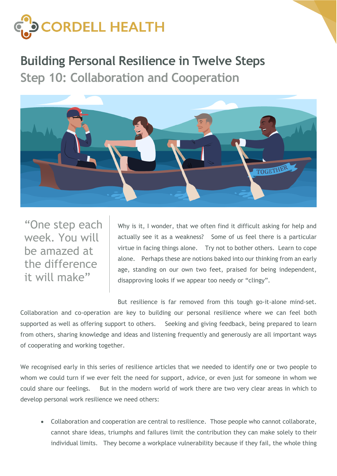

## **Building Personal Resilience in Twelve Steps**

**Step 10: Collaboration and Cooperation**



"One step each week. You will be amazed at the difference it will make"

Why is it, I wonder, that we often find it difficult asking for help and actually see it as a weakness? Some of us feel there is a particular virtue in facing things alone. Try not to bother others. Learn to cope alone. Perhaps these are notions baked into our thinking from an early age, standing on our own two feet, praised for being independent, disapproving looks if we appear too needy or "clingy".

But resilience is far removed from this tough go-it-alone mind-set. Collaboration and co-operation are key to building our personal resilience where we can feel both supported as well as offering support to others. Seeking and giving feedback, being prepared to learn from others, sharing knowledge and ideas and listening frequently and generously are all important ways of cooperating and working together.

We recognised early in this series of resilience articles that we needed to identify one or two people to whom we could turn if we ever felt the need for support, advice, or even just for someone in whom we could share our feelings. But in the modern world of work there are two very clear areas in which to develop personal work resilience we need others:

• Collaboration and cooperation are central to resilience. Those people who cannot collaborate, cannot share ideas, triumphs and failures limit the contribution they can make solely to their individual limits. They become a workplace vulnerability because if they fail, the whole thing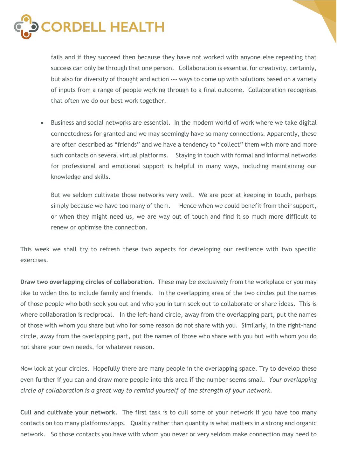

fails and if they succeed then because they have not worked with anyone else repeating that success can only be through that one person. Collaboration is essential for creativity, certainly, but also for diversity of thought and action --- ways to come up with solutions based on a variety of inputs from a range of people working through to a final outcome. Collaboration recognises that often we do our best work together.

• Business and social networks are essential. In the modern world of work where we take digital connectedness for granted and we may seemingly have so many connections. Apparently, these are often described as "friends" and we have a tendency to "collect" them with more and more such contacts on several virtual platforms. Staying in touch with formal and informal networks for professional and emotional support is helpful in many ways, including maintaining our knowledge and skills.

But we seldom cultivate those networks very well. We are poor at keeping in touch, perhaps simply because we have too many of them. Hence when we could benefit from their support, or when they might need us, we are way out of touch and find it so much more difficult to renew or optimise the connection.

This week we shall try to refresh these two aspects for developing our resilience with two specific exercises.

**Draw two overlapping circles of collaboration.** These may be exclusively from the workplace or you may like to widen this to include family and friends. In the overlapping area of the two circles put the names of those people who both seek you out and who you in turn seek out to collaborate or share ideas. This is where collaboration is reciprocal. In the left-hand circle, away from the overlapping part, put the names of those with whom you share but who for some reason do not share with you. Similarly, in the right-hand circle, away from the overlapping part, put the names of those who share with you but with whom you do not share your own needs, for whatever reason.

Now look at your circles. Hopefully there are many people in the overlapping space. Try to develop these even further if you can and draw more people into this area if the number seems small. *Your overlapping circle of collaboration is a great way to remind yourself of the strength of your network.*

**Cull and cultivate your network.** The first task is to cull some of your network if you have too many contacts on too many platforms/apps. Quality rather than quantity is what matters in a strong and organic network. So those contacts you have with whom you never or very seldom make connection may need to